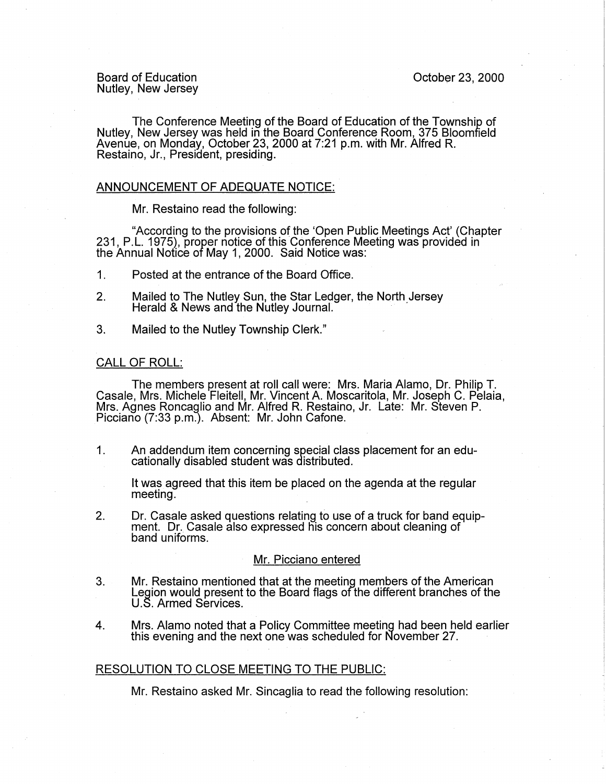Board of Education Nutley, New Jersey

The Conference Meeting of the Board of Education of the Township of Nutley, New Jersey was held in the Board Conference Room, 375 Bloomfield Avenue, on Monday, October 23, 2000 at 7:21 p.m. with Mr. Alfred R. Restaino, Jr., President, presiding.

# ANNOUNCEMENT OF ADEQUATE NOTICE:

Mr. Restaino read the following:

"According to the provisions of the 'Open Public Meetings Act' (Chapter 231, P.L. 1975), proper notice of this Conference Meeting was provided in the Annual Nofice of May 1, 2000. Said Notice was:

- 1 . Posted at the entrance of the Board Office.
- 2. Mailed to The Nutley Sun, the Star Ledger, the North Jersey Herald & News and the Nutley Journal.
- 3. Mailed to the Nutley Township Clerk."

## CALL OF ROLL:

The members present at roll call were: Mrs. Maria Alamo, Dr. Philip T. Casale, Mrs. Michele Fleitell, Mr. Vincent A. Moscaritola, Mr. Joseph C. Pelaia, Mrs. Agnes Roncaglio and Mr. Alfred R. Restaino, Jr. Late: Mr. Steven P. Picciano (7:33 p.m.). Absent: Mr. John Catone.

1. An addendum item concerning special class placement for an educationally disabled student was distributed.

It was agreed that this item be placed on the agenda at the regular meeting. .

2. Dr. Casale asked questions relating to use of a truck for band equipment. Dr. Casale also expressed his concern about cleaning of band uniforms.

#### Mr. Picciano entered

- 3. Mr. Restaino mentioned that at the meeting members of the American Legion would present to the Board flags of the different branches of the U.S. Armed Services.
- 4. Mrs. Alamo noted that a Policy Committee meeting had been held earlier this evening and the next one was scheduled for November 27.

## RESOLUTION TO CLOSE MEETING TO THE PUBLIC:

Mr. Restaino asked Mr. Sincaglia to read the following resolution: